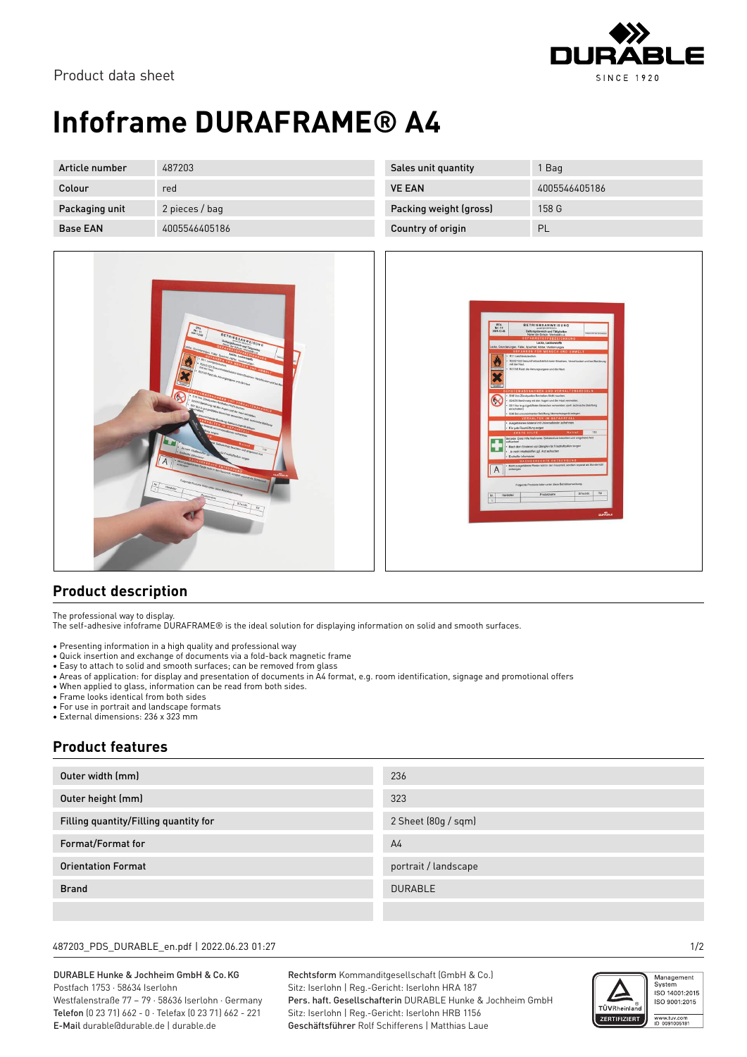

# **Infoframe DURAFRAME® A4**

| Article number  | 487203         | Sales unit quantity    | Bag           |
|-----------------|----------------|------------------------|---------------|
| Colour          | red            | <b>VE EAN</b>          | 4005546405186 |
| Packaging unit  | 2 pieces / bag | Packing weight (gross) | 158 G         |
| <b>Base EAN</b> | 4005546405186  | Country of origin      | PL            |



| <b>BTA</b><br><b>BETRIEBSANWEISUNG</b><br>Nr: 11<br>Geltungsbereich und Tätiskeiten<br>2001-12-06<br><b>Lat dog fair</b><br>Name der Schule: Werkstatt o.a.<br><b>GEFAHRSTOFFBEZEICHNUNG</b><br>Lacke, Lackierstoffe<br>Lacke, Grundlerungen, Füller, Spachtel, Härter, Verdünnungen<br><b>GEFANREN FÜR MENSCH UND UMWELT</b><br>· R11 Leichtentzündlich.<br>R20/21/22 Gesundheitsschädlich beim Einstmen, Verschlucken und bei Berührung<br>mit der Haut.<br>· R37/38 Reizt die Atmungsorgane und die Haut.<br>SCHUTZMASSNAHMEN UND VERHALTENSREGELN<br>· S16 Von Zündquellen fernhalten-Nicht rauchen.<br>. \$24/25 Berührung mit den Augen und der Haut vermeiden.<br>. S51 Nur in gut gelüfteten Bereichen verwenden. (evil. technische Belüftung<br>einschalten)<br>· S38 Bei unzureichender Belüftung Atemschutzgerät anlegen.<br>VERHALTEN IM GEFAHRFALL<br>· Ausgetretenes Material mit Universalbinder aufnehmen.<br>. Für gute Raumlüftung sorgen<br>112<br>ERSTE HILFE<br><b>Notraf</b><br>Bei jeder Erste Hiffe Maßname: Selbstschutz beachten und umgehend Arzt<br>aufraschen!<br>· Nach dem Einatmen von Dämpfen für Frischluftzufuhr sorgen<br>· Je nach Inhaltsstoffen ggf. Arzt aufsuchen<br>· Enthelier informieren<br>SACHGERECHTE ENTSORGUNG<br>· Nicht ausgehärtete Reste nicht in den Hausmüß, sondern separat als Sondermüß<br>А<br>entscrpen<br>Folgende Produkte fallen unter diese Betriebsamweisung:<br>SiTechBI.<br>TM:<br>Produktname<br>Hersteller<br>Nr.<br>Ŧ,<br><b>DURABLE</b> |  |  |
|-----------------------------------------------------------------------------------------------------------------------------------------------------------------------------------------------------------------------------------------------------------------------------------------------------------------------------------------------------------------------------------------------------------------------------------------------------------------------------------------------------------------------------------------------------------------------------------------------------------------------------------------------------------------------------------------------------------------------------------------------------------------------------------------------------------------------------------------------------------------------------------------------------------------------------------------------------------------------------------------------------------------------------------------------------------------------------------------------------------------------------------------------------------------------------------------------------------------------------------------------------------------------------------------------------------------------------------------------------------------------------------------------------------------------------------------------------------------------------------------------------------------|--|--|
|                                                                                                                                                                                                                                                                                                                                                                                                                                                                                                                                                                                                                                                                                                                                                                                                                                                                                                                                                                                                                                                                                                                                                                                                                                                                                                                                                                                                                                                                                                                 |  |  |
|                                                                                                                                                                                                                                                                                                                                                                                                                                                                                                                                                                                                                                                                                                                                                                                                                                                                                                                                                                                                                                                                                                                                                                                                                                                                                                                                                                                                                                                                                                                 |  |  |
|                                                                                                                                                                                                                                                                                                                                                                                                                                                                                                                                                                                                                                                                                                                                                                                                                                                                                                                                                                                                                                                                                                                                                                                                                                                                                                                                                                                                                                                                                                                 |  |  |
|                                                                                                                                                                                                                                                                                                                                                                                                                                                                                                                                                                                                                                                                                                                                                                                                                                                                                                                                                                                                                                                                                                                                                                                                                                                                                                                                                                                                                                                                                                                 |  |  |
|                                                                                                                                                                                                                                                                                                                                                                                                                                                                                                                                                                                                                                                                                                                                                                                                                                                                                                                                                                                                                                                                                                                                                                                                                                                                                                                                                                                                                                                                                                                 |  |  |
|                                                                                                                                                                                                                                                                                                                                                                                                                                                                                                                                                                                                                                                                                                                                                                                                                                                                                                                                                                                                                                                                                                                                                                                                                                                                                                                                                                                                                                                                                                                 |  |  |
|                                                                                                                                                                                                                                                                                                                                                                                                                                                                                                                                                                                                                                                                                                                                                                                                                                                                                                                                                                                                                                                                                                                                                                                                                                                                                                                                                                                                                                                                                                                 |  |  |
|                                                                                                                                                                                                                                                                                                                                                                                                                                                                                                                                                                                                                                                                                                                                                                                                                                                                                                                                                                                                                                                                                                                                                                                                                                                                                                                                                                                                                                                                                                                 |  |  |
|                                                                                                                                                                                                                                                                                                                                                                                                                                                                                                                                                                                                                                                                                                                                                                                                                                                                                                                                                                                                                                                                                                                                                                                                                                                                                                                                                                                                                                                                                                                 |  |  |
|                                                                                                                                                                                                                                                                                                                                                                                                                                                                                                                                                                                                                                                                                                                                                                                                                                                                                                                                                                                                                                                                                                                                                                                                                                                                                                                                                                                                                                                                                                                 |  |  |
|                                                                                                                                                                                                                                                                                                                                                                                                                                                                                                                                                                                                                                                                                                                                                                                                                                                                                                                                                                                                                                                                                                                                                                                                                                                                                                                                                                                                                                                                                                                 |  |  |
|                                                                                                                                                                                                                                                                                                                                                                                                                                                                                                                                                                                                                                                                                                                                                                                                                                                                                                                                                                                                                                                                                                                                                                                                                                                                                                                                                                                                                                                                                                                 |  |  |
|                                                                                                                                                                                                                                                                                                                                                                                                                                                                                                                                                                                                                                                                                                                                                                                                                                                                                                                                                                                                                                                                                                                                                                                                                                                                                                                                                                                                                                                                                                                 |  |  |
|                                                                                                                                                                                                                                                                                                                                                                                                                                                                                                                                                                                                                                                                                                                                                                                                                                                                                                                                                                                                                                                                                                                                                                                                                                                                                                                                                                                                                                                                                                                 |  |  |
|                                                                                                                                                                                                                                                                                                                                                                                                                                                                                                                                                                                                                                                                                                                                                                                                                                                                                                                                                                                                                                                                                                                                                                                                                                                                                                                                                                                                                                                                                                                 |  |  |

### **Product description**

The professional way to display.

The self-adhesive infoframe DURAFRAME® is the ideal solution for displaying information on solid and smooth surfaces.

- Presenting information in a high quality and professional way
- Quick insertion and exchange of documents via a fold-back magnetic frame
- Easy to attach to solid and smooth surfaces; can be removed from glass
- Areas of application: for display and presentation of documents in A4 format, e.g. room identification, signage and promotional offers
- When applied to glass, information can be read from both sides.
- Frame looks identical from both sides
- For use in portrait and landscape formats
- External dimensions: 236 x 323 mm

### **Product features**

| Outer width (mm)                      | 236                  |
|---------------------------------------|----------------------|
| Outer height (mm)                     | 323                  |
| Filling quantity/Filling quantity for | 2 Sheet (80g / sqm)  |
| Format/Format for                     | A <sub>4</sub>       |
| <b>Orientation Format</b>             | portrait / landscape |
| <b>Brand</b>                          | <b>DURABLE</b>       |
|                                       |                      |

#### 487203\_PDS\_DURABLE\_en.pdf | 2022.06.23 01:27 1/2

DURABLE Hunke & Jochheim GmbH & Co.KG Postfach 1753 · 58634 Iserlohn Westfalenstraße 77 – 79 · 58636 Iserlohn · Germany Telefon (0 23 71) 662 - 0 · Telefax (0 23 71) 662 - 221 E-Mail durable@durable.de | durable.de

Rechtsform Kommanditgesellschaft (GmbH & Co.) Sitz: Iserlohn | Reg.-Gericht: Iserlohn HRA 187 Pers. haft. Gesellschafterin DURABLE Hunke & Jochheim GmbH Sitz: Iserlohn | Reg.-Gericht: Iserlohn HRB 1156 Geschäftsführer Rolf Schifferens | Matthias Laue